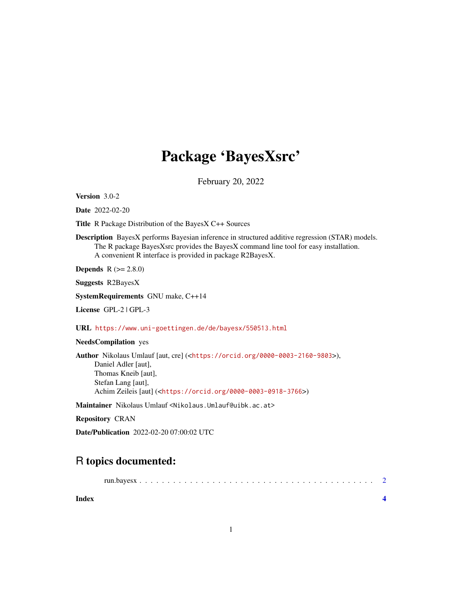## Package 'BayesXsrc'

February 20, 2022

<span id="page-0-0"></span>Version 3.0-2

Date 2022-02-20

Title R Package Distribution of the BayesX C++ Sources

Description BayesX performs Bayesian inference in structured additive regression (STAR) models. The R package BayesXsrc provides the BayesX command line tool for easy installation. A convenient R interface is provided in package R2BayesX.

**Depends**  $R (= 2.8.0)$ 

Suggests R2BayesX

SystemRequirements GNU make, C++14

License GPL-2 | GPL-3

URL <https://www.uni-goettingen.de/de/bayesx/550513.html>

NeedsCompilation yes

Author Nikolaus Umlauf [aut, cre] (<<https://orcid.org/0000-0003-2160-9803>>), Daniel Adler [aut], Thomas Kneib [aut], Stefan Lang [aut], Achim Zeileis [aut] (<<https://orcid.org/0000-0003-0918-3766>>)

Maintainer Nikolaus Umlauf <Nikolaus.Umlauf@uibk.ac.at>

Repository CRAN

Date/Publication 2022-02-20 07:00:02 UTC

### R topics documented:

**Index** [4](#page-3-0)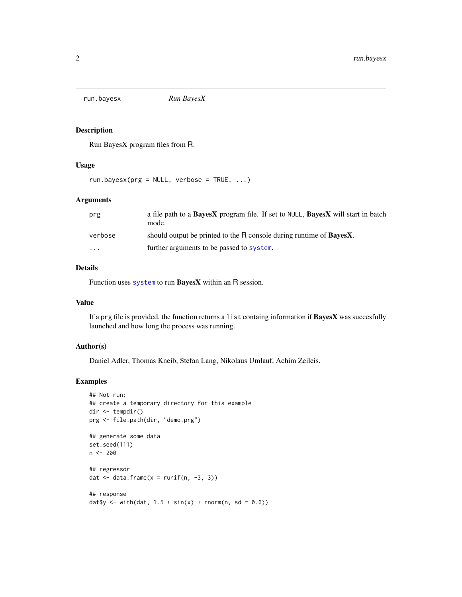<span id="page-1-0"></span>run.bayesx *Run BayesX*

#### Description

Run BayesX program files from R.

#### Usage

 $run.bayesx(prg = NULL, verbose = TRUE, ...)$ 

#### Arguments

| prg     | a file path to a <b>BayesX</b> program file. If set to NULL, <b>BayesX</b> will start in batch<br>mode. |
|---------|---------------------------------------------------------------------------------------------------------|
| verbose | should output be printed to the R console during runtime of <b>BayesX</b> .                             |
| $\cdot$ | further arguments to be passed to system.                                                               |

#### Details

Function uses [system](#page-0-0) to run BayesX within an R session.

#### Value

If a prg file is provided, the function returns a list containg information if BayesX was succesfully launched and how long the process was running.

#### Author(s)

Daniel Adler, Thomas Kneib, Stefan Lang, Nikolaus Umlauf, Achim Zeileis.

#### Examples

```
## Not run:
## create a temporary directory for this example
dir <- tempdir()
prg <- file.path(dir, "demo.prg")
## generate some data
set.seed(111)
n < - 200## regressor
dat \leq data.frame(x = runif(n, -3, 3))
## response
dat$y <- with(dat, 1.5 + sin(x) + rnorm(n, sd = 0.6))
```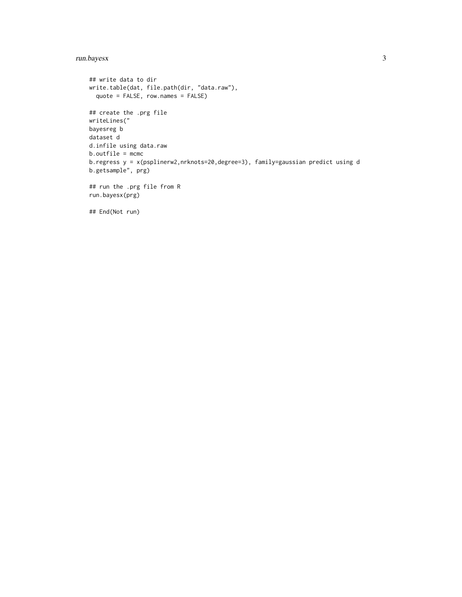#### run.bayesx 3

```
## write data to dir
write.table(dat, file.path(dir, "data.raw"),
 quote = FALSE, row.names = FALSE)
## create the .prg file
writeLines("
bayesreg b
dataset d
d.infile using data.raw
b.outfile = mcmc
b.regress y = x(psplinerw2,nrknots=20,degree=3), family=gaussian predict using d
b.getsample", prg)
## run the .prg file from R
run.bayesx(prg)
## End(Not run)
```